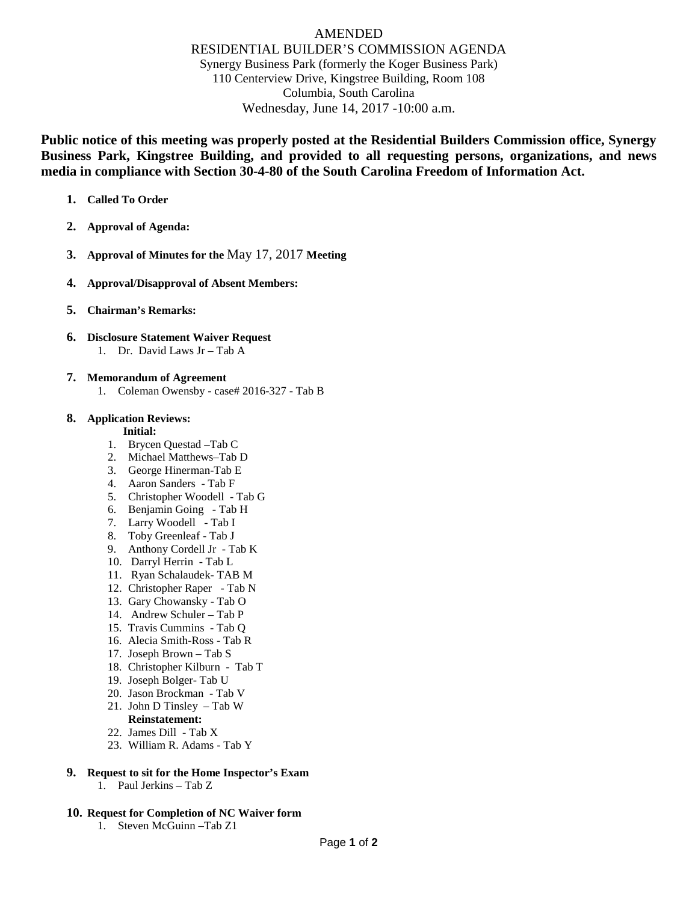# AMENDED RESIDENTIAL BUILDER'S COMMISSION AGENDA Synergy Business Park (formerly the Koger Business Park) 110 Centerview Drive, Kingstree Building, Room 108 Columbia, South Carolina Wednesday, June 14, 2017 -10:00 a.m.

**Public notice of this meeting was properly posted at the Residential Builders Commission office, Synergy Business Park, Kingstree Building, and provided to all requesting persons, organizations, and news media in compliance with Section 30-4-80 of the South Carolina Freedom of Information Act.** 

- **1. Called To Order**
- **2. Approval of Agenda:**
- **3. Approval of Minutes for the** May 17, 2017 **Meeting**
- **4. Approval/Disapproval of Absent Members:**
- **5. Chairman's Remarks:**
- **6. Disclosure Statement Waiver Request** 1. Dr. David Laws Jr – Tab A
- **7. Memorandum of Agreement**
	- 1. Coleman Owensby case# 2016-327 Tab B
- **8. Application Reviews:**

#### **Initial:**

- 1. Brycen Questad –Tab C
- 2. Michael Matthews–Tab D
- 3. George Hinerman-Tab E
- 4. Aaron Sanders Tab F
- 5. Christopher Woodell Tab G
- 6. Benjamin Going Tab H
- 7. Larry Woodell Tab I
- 8. Toby Greenleaf Tab J
- 9. Anthony Cordell Jr Tab K
- 10. Darryl Herrin Tab L
- 11. Ryan Schalaudek- TAB M
- 12. Christopher Raper Tab N
- 13. Gary Chowansky Tab O
- 14. Andrew Schuler Tab P
- 15. Travis Cummins Tab Q
- 16. Alecia Smith-Ross Tab R
- 17. Joseph Brown Tab S
- 18. Christopher Kilburn Tab T
- 19. Joseph Bolger- Tab U
- 20. Jason Brockman Tab V
- 21. John D Tinsley Tab W
	- **Reinstatement:**
- 22. James Dill Tab X
- 23. William R. Adams Tab Y
- **9. Request to sit for the Home Inspector's Exam** 1. Paul Jerkins – Tab Z
- **10. Request for Completion of NC Waiver form** 1. Steven McGuinn –Tab Z1